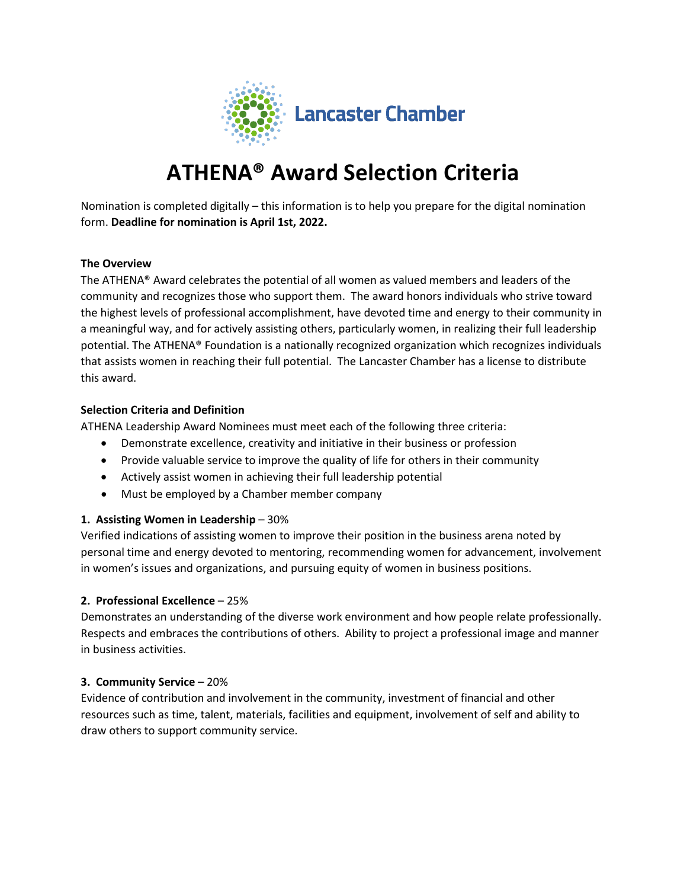

# **ATHENA® Award Selection Criteria**

Nomination is completed digitally – this information is to help you prepare for the digital nomination form. **Deadline for nomination is April 1st, 2022.**

### **The Overview**

The ATHENA® Award celebrates the potential of all women as valued members and leaders of the community and recognizes those who support them. The award honors individuals who strive toward the highest levels of professional accomplishment, have devoted time and energy to their community in a meaningful way, and for actively assisting others, particularly women, in realizing their full leadership potential. The ATHENA® Foundation is a nationally recognized organization which recognizes individuals that assists women in reaching their full potential. The Lancaster Chamber has a license to distribute this award.

## **Selection Criteria and Definition**

ATHENA Leadership Award Nominees must meet each of the following three criteria:

- Demonstrate excellence, creativity and initiative in their business or profession
- Provide valuable service to improve the quality of life for others in their community
- Actively assist women in achieving their full leadership potential
- Must be employed by a Chamber member company

# **1. Assisting Women in Leadership** – 30%

Verified indications of assisting women to improve their position in the business arena noted by personal time and energy devoted to mentoring, recommending women for advancement, involvement in women's issues and organizations, and pursuing equity of women in business positions.

# **2. Professional Excellence** – 25%

Demonstrates an understanding of the diverse work environment and how people relate professionally. Respects and embraces the contributions of others. Ability to project a professional image and manner in business activities.

### **3. Community Service** – 20%

Evidence of contribution and involvement in the community, investment of financial and other resources such as time, talent, materials, facilities and equipment, involvement of self and ability to draw others to support community service.